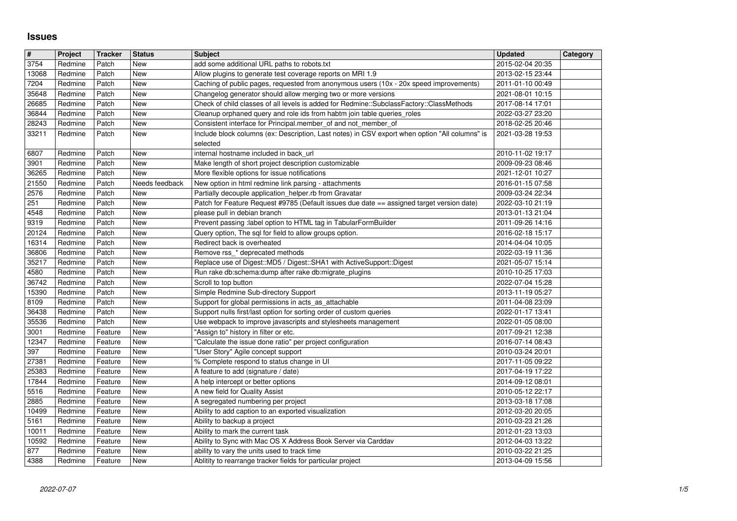## **Issues**

| $\vert$ #      | Project            | <b>Tracker</b>     | <b>Status</b>            | <b>Subject</b>                                                                                                                                                   | <b>Updated</b>                       | Category |
|----------------|--------------------|--------------------|--------------------------|------------------------------------------------------------------------------------------------------------------------------------------------------------------|--------------------------------------|----------|
| 3754           | Redmine            | Patch              | New                      | add some additional URL paths to robots.txt                                                                                                                      | 2015-02-04 20:35                     |          |
| 13068<br>7204  | Redmine<br>Redmine | Patch<br>Patch     | <b>New</b><br><b>New</b> | Allow plugins to generate test coverage reports on MRI 1.9<br>Caching of public pages, requested from anonymous users (10x - 20x speed improvements)             | 2013-02-15 23:44<br>2011-01-10 00:49 |          |
| 35648          | Redmine            | Patch              | <b>New</b>               | Changelog generator should allow merging two or more versions                                                                                                    | 2021-08-01 10:15                     |          |
| 26685          | Redmine            | Patch              | New                      | Check of child classes of all levels is added for Redmine::SubclassFactory::ClassMethods                                                                         | 2017-08-14 17:01                     |          |
| 36844          | Redmine            | Patch              | <b>New</b>               | Cleanup orphaned query and role ids from habtm join table queries_roles                                                                                          | 2022-03-27 23:20                     |          |
| 28243<br>33211 | Redmine<br>Redmine | Patch<br>Patch     | <b>New</b><br>New        | Consistent interface for Principal.member_of and not_member_of<br>Include block columns (ex: Description, Last notes) in CSV export when option "All columns" is | 2018-02-25 20:46<br>2021-03-28 19:53 |          |
|                |                    |                    |                          | selected                                                                                                                                                         |                                      |          |
| 6807           | Redmine            | Patch              | New                      | internal hostname included in back url                                                                                                                           | 2010-11-02 19:17                     |          |
| 3901           | Redmine            | Patch<br>Patch     | New                      | Make length of short project description customizable                                                                                                            | 2009-09-23 08:46                     |          |
| 36265<br>21550 | Redmine<br>Redmine | Patch              | New<br>Needs feedback    | More flexible options for issue notifications<br>New option in html redmine link parsing - attachments                                                           | 2021-12-01 10:27<br>2016-01-15 07:58 |          |
| 2576           | Redmine            | Patch              | New                      | Partially decouple application_helper.rb from Gravatar                                                                                                           | 2009-03-24 22:34                     |          |
| 251            | Redmine            | Patch              | New                      | Patch for Feature Request #9785 (Default issues due date == assigned target version date)                                                                        | 2022-03-10 21:19                     |          |
| 4548<br>9319   | Redmine<br>Redmine | Patch<br>Patch     | New<br>New               | please pull in debian branch<br>Prevent passing :label option to HTML tag in TabularFormBuilder                                                                  | 2013-01-13 21:04<br>2011-09-26 14:16 |          |
| 20124          | Redmine            | Patch              | New                      | Query option, The sql for field to allow groups option.                                                                                                          | 2016-02-18 15:17                     |          |
| 16314          | Redmine            | Patch              | New                      | Redirect back is overheated                                                                                                                                      | 2014-04-04 10:05                     |          |
| 36806<br>35217 | Redmine<br>Redmine | Patch<br>Patch     | New<br><b>New</b>        | Remove rss_* deprecated methods<br>Replace use of Digest::MD5 / Digest::SHA1 with ActiveSupport::Digest                                                          | 2022-03-19 11:36<br>2021-05-07 15:14 |          |
| 4580           | Redmine            | Patch              | New                      | Run rake db:schema:dump after rake db:migrate_plugins                                                                                                            | 2010-10-25 17:03                     |          |
| 36742          | Redmine            | Patch              | New                      | Scroll to top button                                                                                                                                             | 2022-07-04 15:28                     |          |
| 15390          | Redmine            | Patch              | New                      | Simple Redmine Sub-directory Support                                                                                                                             | 2013-11-19 05:27                     |          |
| 8109<br>36438  | Redmine<br>Redmine | Patch<br>Patch     | <b>New</b><br>New        | Support for global permissions in acts_as_attachable<br>Support nulls first/last option for sorting order of custom queries                                      | 2011-04-08 23:09<br>2022-01-17 13:41 |          |
| 35536          | Redmine            | Patch              | New                      | Use webpack to improve javascripts and stylesheets management                                                                                                    | 2022-01-05 08:00                     |          |
| 3001           | Redmine            | Feature            | New                      | "Assign to" history in filter or etc.                                                                                                                            | 2017-09-21 12:38                     |          |
| 12347          | Redmine            | Feature            | New                      | "Calculate the issue done ratio" per project configuration                                                                                                       | 2016-07-14 08:43                     |          |
| 397<br>27381   | Redmine<br>Redmine | Feature<br>Feature | New<br>New               | "User Story" Agile concept support<br>% Complete respond to status change in UI                                                                                  | 2010-03-24 20:01<br>2017-11-05 09:22 |          |
| 25383          | Redmine            | Feature            | New                      | A feature to add (signature / date)                                                                                                                              | 2017-04-19 17:22                     |          |
| 17844          | Redmine            | Feature            | New                      | A help intercept or better options                                                                                                                               | 2014-09-12 08:01                     |          |
| 5516<br>2885   | Redmine<br>Redmine | Feature<br>Feature | New<br>New               | A new field for Quality Assist<br>A segregated numbering per project                                                                                             | 2010-05-12 22:17<br>2013-03-18 17:08 |          |
| 10499          | Redmine            | Feature            | New                      | Ability to add caption to an exported visualization                                                                                                              | 2012-03-20 20:05                     |          |
| 5161<br>10011  | Redmine<br>Redmine | Feature<br>Feature | New<br>New               | Ability to backup a project<br>Ability to mark the current task                                                                                                  | 2010-03-23 21:26<br>2012-01-23 13:03 |          |
| 10592          | Redmine            | Feature            | New                      | Ability to Sync with Mac OS X Address Book Server via Carddav                                                                                                    | 2012-04-03 13:22                     |          |
| 877<br>4388    | Redmine<br>Redmine | Feature            | New                      | ability to vary the units used to track time<br>Ablitity to rearrange tracker fields for particular project                                                      | 2010-03-22 21:25<br>2013-04-09 15:56 |          |
|                |                    |                    |                          |                                                                                                                                                                  |                                      |          |
|                |                    |                    |                          |                                                                                                                                                                  |                                      |          |
|                |                    |                    |                          |                                                                                                                                                                  |                                      |          |
|                |                    |                    |                          |                                                                                                                                                                  |                                      |          |
|                |                    |                    |                          |                                                                                                                                                                  |                                      |          |
|                |                    |                    |                          |                                                                                                                                                                  |                                      |          |
|                |                    |                    |                          |                                                                                                                                                                  |                                      |          |
|                |                    |                    |                          |                                                                                                                                                                  |                                      |          |
|                |                    |                    |                          |                                                                                                                                                                  |                                      |          |
|                |                    |                    |                          |                                                                                                                                                                  |                                      |          |
|                |                    |                    |                          |                                                                                                                                                                  |                                      |          |
|                |                    |                    |                          |                                                                                                                                                                  |                                      |          |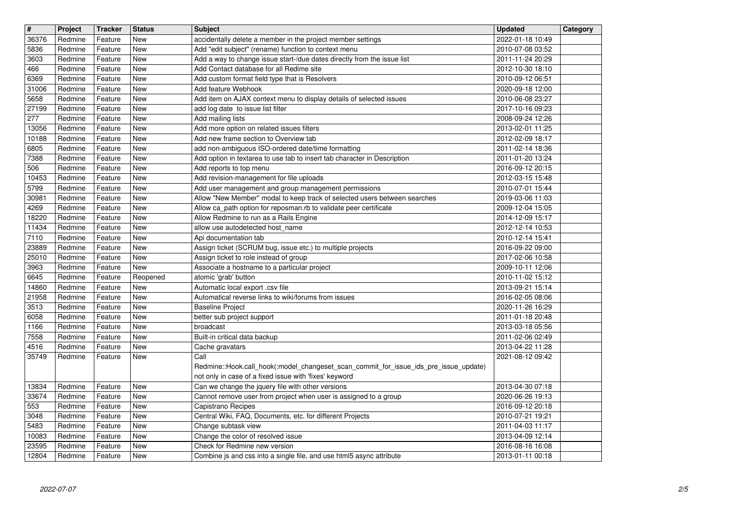| $\overline{\mathbf{H}}$ | Project            | <b>Tracker</b>     | <b>Status</b>      | <b>Subject</b>                                                                                                                    | <b>Updated</b>                       | Category |
|-------------------------|--------------------|--------------------|--------------------|-----------------------------------------------------------------------------------------------------------------------------------|--------------------------------------|----------|
| 36376<br>5836           | Redmine<br>Redmine | Feature<br>Feature | New<br>New         | accidentally delete a member in the project member settings<br>Add "edit subject" (rename) function to context menu               | 2022-01-18 10:49<br>2010-07-08 03:52 |          |
| 3603                    | Redmine            | Feature            | New                | Add a way to change issue start-/due dates directly from the issue list                                                           | 2011-11-24 20:29                     |          |
| 466<br>6369             | Redmine<br>Redmine | Feature<br>Feature | New<br>New         | Add Contact database for all Redime site<br>Add custom format field type that is Resolvers                                        | 2012-10-30 18:10<br>2010-09-12 06:51 |          |
| 31006                   | Redmine            | Feature            | <b>New</b>         | Add feature Webhook                                                                                                               | 2020-09-18 12:00                     |          |
| 5658<br>27199           | Redmine<br>Redmine | Feature<br>Feature | New<br><b>New</b>  | Add item on AJAX context menu to display details of selected issues<br>add log date to issue list filter                          | 2010-06-08 23:27<br>2017-10-16 09:23 |          |
| 277                     | Redmine            | Feature            | <b>New</b>         | Add mailing lists                                                                                                                 | 2008-09-24 12:26                     |          |
| 13056<br>10188          | Redmine<br>Redmine | Feature<br>Feature | New<br>New         | Add more option on related issues filters<br>Add new frame section to Overview tab                                                | 2013-02-01 11:25<br>2012-02-09 18:17 |          |
| 6805                    | Redmine            | Feature            | New                | add non-ambiguous ISO-ordered date/time formatting                                                                                | 2011-02-14 18:36                     |          |
| 7388<br>506             | Redmine<br>Redmine | Feature<br>Feature | New<br>New         | Add option in textarea to use tab to insert tab character in Description<br>Add reports to top menu                               | 2011-01-20 13:24<br>2016-09-12 20:15 |          |
| 10453                   | Redmine            | Feature            | <b>New</b>         | Add revision-management for file uploads                                                                                          | 2012-03-15 15:48                     |          |
| 5799<br>30981           | Redmine<br>Redmine | Feature<br>Feature | New<br><b>New</b>  | Add user management and group management permissions<br>Allow "New Member" modal to keep track of selected users between searches | 2010-07-01 15:44<br>2019-03-06 11:03 |          |
| 4269                    | Redmine            | Feature            | New                | Allow ca_path option for reposman.rb to validate peer certificate                                                                 | 2009-12-04 15:05                     |          |
| 18220                   | Redmine            | Feature            | New                | Allow Redmine to run as a Rails Engine                                                                                            | 2014-12-09 15:17                     |          |
| 11434<br>7110           | Redmine<br>Redmine | Feature<br>Feature | New<br>New         | allow use autodetected host_name<br>Api documentation tab                                                                         | 2012-12-14 10:53<br>2010-12-14 15:41 |          |
| 23889                   | Redmine            | Feature            | New                | Assign ticket (SCRUM bug, issue etc.) to multiple projects                                                                        | 2016-09-22 09:00                     |          |
| 25010<br>3963           | Redmine<br>Redmine | Feature<br>Feature | New<br>New         | Assign ticket to role instead of group<br>Associate a hostname to a particular project                                            | 2017-02-06 10:58<br>2009-10-11 12:06 |          |
| 6645                    | Redmine            | Feature            | Reopened           | atomic 'grab' button                                                                                                              | 2010-11-02 15:12                     |          |
| 14860<br>21958          | Redmine<br>Redmine | Feature<br>Feature | New<br>New         | Automatic local export .csv file<br>Automatical reverse links to wiki/forums from issues                                          | 2013-09-21 15:14<br>2016-02-05 08:06 |          |
| 3513                    | Redmine            | Feature            | New                | <b>Baseline Project</b>                                                                                                           | 2020-11-26 16:29                     |          |
| 6058<br>1166            | Redmine<br>Redmine | Feature<br>Feature | New<br>New         | better sub project support<br>broadcast                                                                                           | 2011-01-18 20:48<br>2013-03-18 05:56 |          |
| 7558                    | Redmine            | Feature            | New                | Built-in critical data backup                                                                                                     | 2011-02-06 02:49                     |          |
| 4516<br>35749           | Redmine<br>Redmine | Feature<br>Feature | New<br>New         | Cache gravatars<br>Call                                                                                                           | 2013-04-22 11:28<br>2021-08-12 09:42 |          |
|                         |                    |                    |                    | Redmine::Hook.call_hook(:model_changeset_scan_commit_for_issue_ids_pre_issue_update)                                              |                                      |          |
| 13834                   | Redmine            | Feature            | New                | not only in case of a fixed issue with 'fixes' keyword<br>Can we change the jquery file with other versions                       | 2013-04-30 07:18                     |          |
| 33674                   | Redmine            | Feature            | New                | Cannot remove user from project when user is assigned to a group                                                                  | 2020-06-26 19:13                     |          |
| 553<br>3048             | Redmine<br>Redmine | Feature<br>Feature | New<br>$\vert$ New | Capistrano Recipes<br>Central Wiki, FAQ, Documents, etc. for different Projects                                                   | 2016-09-12 20:18<br>2010-07-21 19:21 |          |
| 5483                    | Redmine            | Feature            | <b>New</b>         | Change subtask view                                                                                                               | 2011-04-03 11:17                     |          |
| 10083<br>23595          | Redmine<br>Redmine | Feature<br>Feature | New<br>New         | Change the color of resolved issue<br>Check for Redmine new version                                                               | 2013-04-09 12:14<br>2016-08-16 16:08 |          |
| 12804                   | Redmine            | Feature            | New                | Combine js and css into a single file, and use html5 async attribute                                                              | 2013-01-11 00:18                     |          |
|                         |                    |                    |                    |                                                                                                                                   |                                      |          |
|                         |                    |                    |                    |                                                                                                                                   |                                      |          |
|                         |                    |                    |                    |                                                                                                                                   |                                      |          |
|                         |                    |                    |                    |                                                                                                                                   |                                      |          |
|                         |                    |                    |                    |                                                                                                                                   |                                      |          |
|                         |                    |                    |                    |                                                                                                                                   |                                      |          |
|                         |                    |                    |                    |                                                                                                                                   |                                      |          |
|                         |                    |                    |                    |                                                                                                                                   |                                      |          |
|                         |                    |                    |                    |                                                                                                                                   |                                      |          |
|                         |                    |                    |                    |                                                                                                                                   |                                      |          |
|                         |                    |                    |                    |                                                                                                                                   |                                      |          |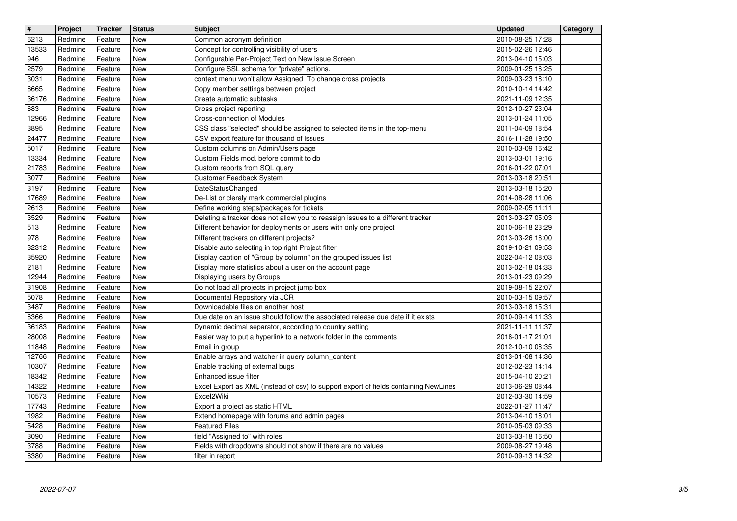| $\overline{\mathbf{H}}$<br>6213 | Project<br>Redmine | <b>Tracker</b><br>Feature | <b>Status</b><br>New | <b>Subject</b><br>Common acronym definition                                                                                 | <b>Updated</b><br>2010-08-25 17:28   | Category |
|---------------------------------|--------------------|---------------------------|----------------------|-----------------------------------------------------------------------------------------------------------------------------|--------------------------------------|----------|
| 13533                           | Redmine            | Feature                   | New                  | Concept for controlling visibility of users                                                                                 | 2015-02-26 12:46                     |          |
| 946<br>2579                     | Redmine<br>Redmine | Feature<br>Feature        | New<br>New           | Configurable Per-Project Text on New Issue Screen<br>Configure SSL schema for "private" actions.                            | 2013-04-10 15:03<br>2009-01-25 16:25 |          |
| 3031                            | Redmine            | Feature                   | New                  | context menu won't allow Assigned_To change cross projects                                                                  | 2009-03-23 18:10                     |          |
| 6665<br>36176                   | Redmine<br>Redmine | Feature<br>Feature        | New<br>New           | Copy member settings between project<br>Create automatic subtasks                                                           | 2010-10-14 14:42<br>2021-11-09 12:35 |          |
| 683                             | Redmine            | Feature                   | New                  | Cross project reporting                                                                                                     | 2012-10-27 23:04                     |          |
| 12966<br>3895                   | Redmine<br>Redmine | Feature<br>Feature        | New<br>New           | Cross-connection of Modules<br>CSS class "selected" should be assigned to selected items in the top-menu                    | 2013-01-24 11:05<br>2011-04-09 18:54 |          |
| 24477<br>5017                   | Redmine<br>Redmine | Feature<br>Feature        | New<br>New           | CSV export feature for thousand of issues<br>Custom columns on Admin/Users page                                             | 2016-11-28 19:50<br>2010-03-09 16:42 |          |
| 13334                           | Redmine            | Feature                   | New                  | Custom Fields mod. before commit to db                                                                                      | 2013-03-01 19:16                     |          |
| 21783<br>3077                   | Redmine<br>Redmine | Feature<br>Feature        | New<br>New           | Custom reports from SQL query<br>Customer Feedback System                                                                   | 2016-01-22 07:01<br>2013-03-18 20:51 |          |
| 3197                            | Redmine            | Feature                   | <b>New</b>           | DateStatusChanged                                                                                                           | 2013-03-18 15:20                     |          |
| 17689<br>2613                   | Redmine<br>Redmine | Feature<br>Feature        | <b>New</b><br>New    | De-List or cleraly mark commercial plugins<br>Define working steps/packages for tickets                                     | 2014-08-28 11:06<br>2009-02-05 11:11 |          |
| 3529                            | Redmine            | Feature                   | New                  | Deleting a tracker does not allow you to reassign issues to a different tracker                                             | 2013-03-27 05:03                     |          |
| 513<br>978                      | Redmine<br>Redmine | Feature<br>Feature        | New<br>New           | Different behavior for deployments or users with only one project<br>Different trackers on different projects?              | 2010-06-18 23:29<br>2013-03-26 16:00 |          |
| 32312                           | Redmine            | Feature                   | New                  | Disable auto selecting in top right Project filter                                                                          | 2019-10-21 09:53                     |          |
| 35920<br>2181                   | Redmine<br>Redmine | Feature<br>Feature        | New<br>New           | Display caption of "Group by column" on the grouped issues list<br>Display more statistics about a user on the account page | 2022-04-12 08:03<br>2013-02-18 04:33 |          |
| 12944<br>31908                  | Redmine<br>Redmine | Feature<br>Feature        | <b>New</b><br>New    | Displaying users by Groups<br>Do not load all projects in project jump box                                                  | 2013-01-23 09:29<br>2019-08-15 22:07 |          |
| 5078                            | Redmine            | Feature                   | New                  | Documental Repository vía JCR                                                                                               | 2010-03-15 09:57                     |          |
| 3487<br>6366                    | Redmine<br>Redmine | Feature<br>Feature        | New<br>New           | Downloadable files on another host<br>Due date on an issue should follow the associated release due date if it exists       | 2013-03-18 15:31<br>2010-09-14 11:33 |          |
| 36183                           | Redmine            | Feature                   | New                  | Dynamic decimal separator, according to country setting                                                                     | 2021-11-11 11:37                     |          |
| 28008<br>11848                  | Redmine<br>Redmine | Feature<br>Feature        | New<br>New           | Easier way to put a hyperlink to a network folder in the comments<br>Email in group                                         | 2018-01-17 21:01<br>2012-10-10 08:35 |          |
| 12766                           | Redmine            | Feature                   | <b>New</b>           | Enable arrays and watcher in query column_content                                                                           | 2013-01-08 14:36                     |          |
| 10307<br>18342                  | Redmine<br>Redmine | Feature<br>Feature        | <b>New</b><br>New    | Enable tracking of external bugs<br>Enhanced issue filter                                                                   | 2012-02-23 14:14<br>2015-04-10 20:21 |          |
| 14322<br>10573                  | Redmine<br>Redmine | Feature<br>Feature        | New<br>New           | Excel Export as XML (instead of csv) to support export of fields containing NewLines<br>Excel2Wiki                          | 2013-06-29 08:44<br>2012-03-30 14:59 |          |
| 17743                           | Redmine            | Feature                   | <b>New</b>           | Export a project as static HTML                                                                                             | 2022-01-27 11:47                     |          |
| 1982<br>5428                    | Redmine<br>Redmine | Feature<br>Feature        | New<br>New           | Extend homepage with forums and admin pages<br><b>Featured Files</b>                                                        | 2013-04-10 18:01<br>2010-05-03 09:33 |          |
| 3090                            | Redmine            | Feature                   | New                  | field "Assigned to" with roles                                                                                              | 2013-03-18 16:50                     |          |
| 3788<br>6380                    | Redmine<br>Redmine | Feature<br>Feature        | New<br>New           | Fields with dropdowns should not show if there are no values<br>filter in report                                            | 2009-08-27 19:48<br>2010-09-13 14:32 |          |
|                                 |                    |                           |                      |                                                                                                                             |                                      |          |
|                                 |                    |                           |                      |                                                                                                                             |                                      |          |
|                                 |                    |                           |                      |                                                                                                                             |                                      |          |
|                                 |                    |                           |                      |                                                                                                                             |                                      |          |
|                                 |                    |                           |                      |                                                                                                                             |                                      |          |
|                                 |                    |                           |                      |                                                                                                                             |                                      |          |
|                                 |                    |                           |                      |                                                                                                                             |                                      |          |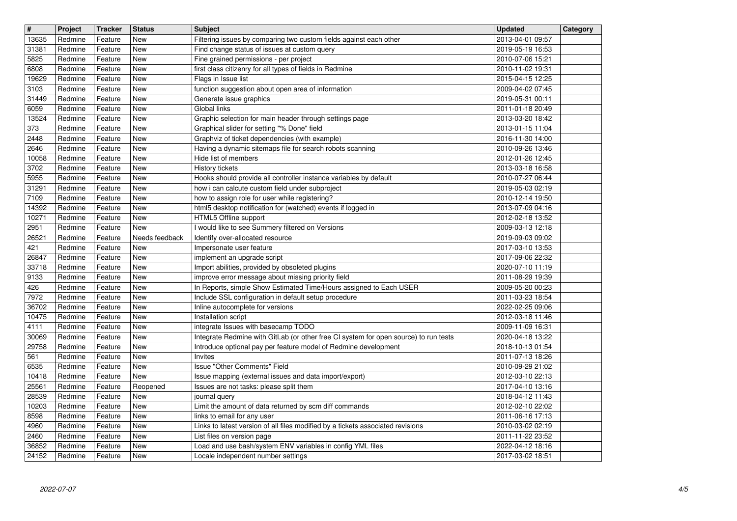| $\overline{\mathbf{H}}$ | Project            | <b>Tracker</b>     | <b>Status</b>            | <b>Subject</b>                                                                                                                                          | <b>Updated</b>                       | Category |
|-------------------------|--------------------|--------------------|--------------------------|---------------------------------------------------------------------------------------------------------------------------------------------------------|--------------------------------------|----------|
| 13635<br>31381          | Redmine<br>Redmine | Feature<br>Feature | New<br>New               | Filtering issues by comparing two custom fields against each other<br>Find change status of issues at custom query                                      | 2013-04-01 09:57<br>2019-05-19 16:53 |          |
| 5825                    | Redmine            | Feature            | New                      | Fine grained permissions - per project                                                                                                                  | 2010-07-06 15:21                     |          |
| 6808                    | Redmine            | Feature            | New                      | first class citizenry for all types of fields in Redmine                                                                                                | 2010-11-02 19:31                     |          |
| 19629<br>3103           | Redmine<br>Redmine | Feature<br>Feature | <b>New</b><br>New        | Flags in Issue list<br>function suggestion about open area of information                                                                               | 2015-04-15 12:25<br>2009-04-02 07:45 |          |
| 31449                   | Redmine            | Feature            | New                      | Generate issue graphics                                                                                                                                 | 2019-05-31 00:11                     |          |
| 6059<br>13524           | Redmine<br>Redmine | Feature<br>Feature | New<br><b>New</b>        | Global links                                                                                                                                            | 2011-01-18 20:49<br>2013-03-20 18:42 |          |
| 373                     | Redmine            | Feature            | <b>New</b>               | Graphic selection for main header through settings page<br>Graphical slider for setting "% Done" field                                                  | 2013-01-15 11:04                     |          |
| 2448                    | Redmine            | Feature            | New                      | Graphviz of ticket dependencies (with example)                                                                                                          | 2016-11-30 14:00                     |          |
| 2646<br>10058           | Redmine<br>Redmine | Feature<br>Feature | New<br>New               | Having a dynamic sitemaps file for search robots scanning<br>Hide list of members                                                                       | 2010-09-26 13:46<br>2012-01-26 12:45 |          |
| 3702                    | Redmine            | Feature            | New                      | History tickets                                                                                                                                         | 2013-03-18 16:58                     |          |
| 5955                    | Redmine            | Feature            | New                      | Hooks should provide all controller instance variables by default                                                                                       | 2010-07-27 06:44                     |          |
| 31291<br>7109           | Redmine<br>Redmine | Feature<br>Feature | New<br>New               | how i can calcute custom field under subproject<br>how to assign role for user while registering?                                                       | 2019-05-03 02:19<br>2010-12-14 19:50 |          |
| 14392                   | Redmine            | Feature            | <b>New</b>               | html5 desktop notification for (watched) events if logged in                                                                                            | 2013-07-09 04:16                     |          |
| 10271                   | Redmine            | Feature            | <b>New</b>               | HTML5 Offline support                                                                                                                                   | 2012-02-18 13:52                     |          |
| 2951<br>26521           | Redmine<br>Redmine | Feature<br>Feature | New<br>Needs feedback    | I would like to see Summery filtered on Versions<br>Identify over-allocated resource                                                                    | 2009-03-13 12:18<br>2019-09-03 09:02 |          |
| 421                     | Redmine            | Feature            | New                      | Impersonate user feature                                                                                                                                | 2017-03-10 13:53                     |          |
| 26847<br>33718          | Redmine<br>Redmine | Feature<br>Feature | New<br>New               | implement an upgrade script<br>Import abilities, provided by obsoleted plugins                                                                          | 2017-09-06 22:32<br>2020-07-10 11:19 |          |
| 9133                    | Redmine            | Feature            | New                      | improve error message about missing priority field                                                                                                      | 2011-08-29 19:39                     |          |
| 426                     | Redmine            | Feature            | <b>New</b>               | In Reports, simple Show Estimated Time/Hours assigned to Each USER                                                                                      | 2009-05-20 00:23                     |          |
| 7972<br>36702           | Redmine<br>Redmine | Feature<br>Feature | <b>New</b><br><b>New</b> | Include SSL configuration in default setup procedure<br>Inline autocomplete for versions                                                                | 2011-03-23 18:54<br>2022-02-25 09:06 |          |
| 10475                   | Redmine            | Feature            | New                      | Installation script                                                                                                                                     | 2012-03-18 11:46                     |          |
| 4111                    | Redmine            | Feature            | New                      | integrate Issues with basecamp TODO                                                                                                                     | 2009-11-09 16:31                     |          |
| 30069<br>29758          | Redmine<br>Redmine | Feature<br>Feature | New<br>New               | Integrate Redmine with GitLab (or other free CI system for open source) to run tests<br>Introduce optional pay per feature model of Redmine development | 2020-04-18 13:22<br>2018-10-13 01:54 |          |
| 561                     | Redmine            | Feature            | New                      | Invites                                                                                                                                                 | 2011-07-13 18:26                     |          |
| 6535<br>10418           | Redmine<br>Redmine | Feature<br>Feature | New<br><b>New</b>        | Issue "Other Comments" Field<br>Issue mapping (external issues and data import/export)                                                                  | 2010-09-29 21:02<br>2012-03-10 22:13 |          |
| 25561                   | Redmine            | Feature            | Reopened                 | Issues are not tasks: please split them                                                                                                                 | 2017-04-10 13:16                     |          |
| 28539                   | Redmine            | Feature            | New                      | journal query                                                                                                                                           | 2018-04-12 11:43                     |          |
| 10203<br>8598           | Redmine<br>Redmine | Feature<br>Feature | New<br>New               | Limit the amount of data returned by scm diff commands<br>links to email for any user                                                                   | 2012-02-10 22:02<br>2011-06-16 17:13 |          |
| 4960                    | Redmine            | Feature            | New                      | Links to latest version of all files modified by a tickets associated revisions                                                                         | 2010-03-02 02:19                     |          |
| 2460                    | Redmine            | Feature            | New                      | List files on version page                                                                                                                              | 2011-11-22 23:52                     |          |
| 36852<br>24152          | Redmine<br>Redmine | Feature<br>Feature | New<br>New               | Load and use bash/system ENV variables in config YML files<br>Locale independent number settings                                                        | 2022-04-12 18:16<br>2017-03-02 18:51 |          |
|                         |                    |                    |                          |                                                                                                                                                         |                                      |          |
|                         |                    |                    |                          |                                                                                                                                                         |                                      |          |
|                         |                    |                    |                          |                                                                                                                                                         |                                      |          |
|                         |                    |                    |                          |                                                                                                                                                         |                                      |          |
|                         |                    |                    |                          |                                                                                                                                                         |                                      |          |
|                         |                    |                    |                          |                                                                                                                                                         |                                      |          |
|                         |                    |                    |                          |                                                                                                                                                         |                                      |          |
|                         |                    |                    |                          |                                                                                                                                                         |                                      |          |
|                         |                    |                    |                          |                                                                                                                                                         |                                      |          |
|                         |                    |                    |                          |                                                                                                                                                         |                                      |          |